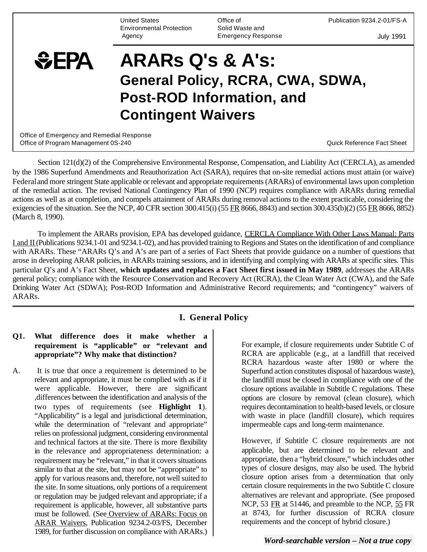United States Environmental Protection Agency

Office of Solid Waste and Emergency Response Publication 9234.2-01/FS-A

July 1991

# $EPA$ **ARARs Q's & A's: General Policy, RCRA, CWA, SDWA, Post-ROD Information, and Contingent Waivers**

Office of Emergency and Remedial Response Office of Program Management 0S-240 **Contract Contract Contract Contract Contract Contract Contract Contract Contract Contract Contract Contract Contract Contract Contract Contract Contract Contract Contract Contract Contr** 

Section 121(d)(2) of the Comprehensive Environmental Response, Compensation, and Liability Act (CERCLA), as amended by the 1986 Superfund Amendments and Reauthorization Act (SARA), requires that on-site remedial actions must attain (or waive) Federal and more stringent State applicable or relevant and appropriate requirements (ARARs) of environmental laws upon completion of the remedial action. The revised National Contingency Plan of 1990 (NCP) requires compliance with ARARs during remedial actions as well as at completion, and compels attainment of ARARs during removal actions to the extent practicable, considering the exigencies of the situation. See the NCP, 40 CFR section 300.415(i) (55 FR 8666, 8843) and section 300.435(b)(2) (55 FR 8666, 8852) (March 8, 1990).

To implement the ARARs provision, EPA has developed guidance, CERCLA Compliance With Other Laws Manual: Parts I and II (Publications 9234.1-01 and 9234.1-02), and has provided training to Regions and States on the identification of and compliance with ARARs. These "ARARs Q's and A's are part of a series of Fact Sheets that provide guidance on a number of questions that arose in developing ARAR policies, in ARARs training sessions, and in identifying and complying with ARARs at specific sites. This particular Q's and A's Fact Sheet, **which updates and replaces a Fact Sheet first issued in May 1989**, addresses the ARARs general policy; compliance with the Resource Conservation and Recovery Act (RCRA), the Clean Water Act (CWA), and the Safe Drinking Water Act (SDWA); Post-ROD Information and Administrative Record requirements; and "contingency" waivers of ARARs.

#### **I. General Policy**

#### **Q1. What difference does it make whether a requirement is "applicable" or "relevant and appropriate"? Why make that distinction?**

A. It is true that once a requirement is determined to be relevant and appropriate, it must be complied with as if it were applicable. However, there are significant ,differences between the identification and analysis of the two types of requirements (see **Highlight 1**). "Applicability" is a legal and jurisdictional determination, while the determination of "relevant and appropriate" relies on professional judgment, considering environmental and technical factors at the site. There is more flexibility in the relevance and appropriateness determination: a requirement may be "relevant," in that it covers situations similar to that at the site, but may not be "appropriate" to apply for various reasons and, therefore, not well suited to the site. In some situations, only portions of a requirement or regulation may be judged relevant and appropriate; if a requirement is applicable, however, all substantive parts must be followed. (See Overview of ARARs: Focus on ARAR Waivers, Publication 9234.2-03/FS, December 1989, for further discussion on compliance with ARARs.)

For example, if closure requirements under Subtitle C of RCRA are applicable (e.g., at a landfill that received RCRA hazardous waste after 1980 or where the Superfund action constitutes disposal of hazardous waste), the landfill must be closed in compliance with one of the closure options available in Subtitle C regulations. These options are closure by removal (clean closure), which requires decontamination to health-based levels, or closure with waste in place (landfill closure), which requires impermeable caps and long-term maintenance.

However, if Subtitle C closure requirements are not applicable, but are determined to be relevant and appropriate, then a "hybrid closure," which includes other types of closure designs, may also be used. The hybrid closure option arises from a determination that only certain closure requirements in the two Subtitle C closure alternatives are relevant and appropriate. (See proposed NCP, 53 FR at 51446, and preamble to the NCP, 55 FR at 8743, for further discussion of RCRA closure requirements and the concept of hybrid closure.)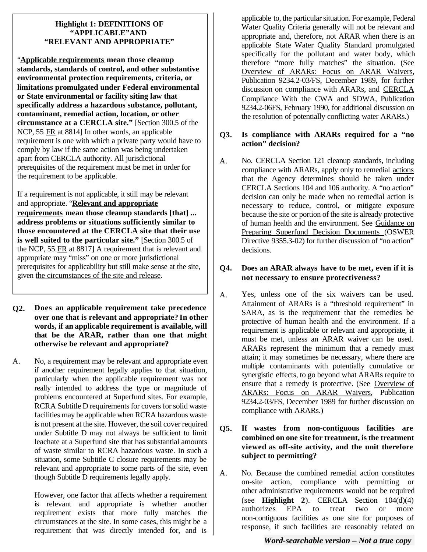#### **Highlight 1: DEFINITIONS OF "APPLICABLE"AND "RELEVANT AND APPROPRIATE"**

"**Applicable requirements mean those cleanup standards, standards of control, and other substantive environmental protection requirements, criteria, or limitations promulgated under Federal environmental or State environmental or facility siting law that specifically address a hazardous substance, pollutant, contaminant, remedial action, location, or other circumstance at a CERCLA site."** [Section 300.5 of the NCP, 55 FR at 8814] In other words, an applicable requirement is one with which a private party would have to comply by law if the same action was being undertaken apart from CERCLA authority. All jurisdictional prerequisites of the requirement must be met in order for the requirement to be applicable.

If a requirement is not applicable, it still may be relevant and appropriate. "**Relevant and appropriate requirements mean those cleanup standards [that] ... address problems or situations sufficiently similar to those encountered at the CERCLA site that their use is well suited to the particular site."** [Section 300.5 of the NCP, 55 FR at 8817] A requirement that is relevant and appropriate may "miss" on one or more jurisdictional prerequisites for applicability but still make sense at the site, given the circumstances of the site and release.

- **Q2. Does an applicable requirement take precedence over one that is relevant and appropriate? In other words, if an applicable requirement is available, will that be the ARAR, rather than one that might otherwise be relevant and appropriate?**
- A. No, a requirement may be relevant and appropriate even if another requirement legally applies to that situation, particularly when the applicable requirement was not really intended to address the type or magnitude of problems encountered at Superfund sites. For example, RCRA Subtitle D requirements for covers for solid waste facilities may be applicable when RCRA hazardous waste is not present at the site. However, the soil cover required under Subtitle D may not always be sufficient to limit leachate at a Superfund site that has substantial amounts of waste similar to RCRA hazardous waste. In such a situation, some Subtitle C closure requirements may be relevant and appropriate to some parts of the site, even though Subtitle D requirements legally apply.

However, one factor that affects whether a requirement is relevant and appropriate is whether another requirement exists that more fully matches the circumstances at the site. In some cases, this might be a requirement that was directly intended for, and is applicable to, the particular situation. For example, Federal Water Quality Criteria generally will not be relevant and appropriate and, therefore, not ARAR when there is an applicable State Water Quality Standard promulgated specifically for the pollutant and water body, which therefore "more fully matches" the situation. (See Overview of ARARs: Focus on ARAR Waivers, Publication 9234.2-03/FS, December 1989, for further discussion on compliance with ARARs, and CERCLA Compliance With the CWA and SDWA, Publication 9234.2-06FS, February 1990, for additional discussion on the resolution of potentially conflicting water ARARs.)

#### **Q3. Is compliance with ARARs required for a "no action" decision?**

A. No. CERCLA Section 121 cleanup standards, including compliance with ARARs, apply only to remedial actions that the Agency determines should be taken under CERCLA Sections 104 and 106 authority. A "no action" decision can only be made when no remedial action is necessary to reduce, control, or mitigate exposure because the site or portion of the site is already protective of human health and the environment. See Guidance on Preparing Superfund Decision Documents (OSWER Directive 9355.3-02) for further discussion of "no action" decisions.

#### **Q4. Does an ARAR always have to be met, even if it is not necessary to ensure protectiveness?**

- A. Yes, unless one of the six waivers can be used. Attainment of ARARs is a "threshold requirement" in SARA, as is the requirement that the remedies be protective of human health and the environment. If a requirement is applicable or relevant and appropriate, it must be met, unless an ARAR waiver can be used. ARARs represent the minimum that a remedy must attain; it may sometimes be necessary, where there are multiple contaminants with potentially cumulative or synergistic effects, to go beyond what ARARs require to ensure that a remedy is protective. (See Overview of ARARs: Focus on ARAR Waivers, Publication 9234.2-03/FS, December 1989 for further discussion on compliance with ARARs.)
- **Q5. If wastes from non-contiguous facilities are combined on one site for treatment, is the treatment viewed as off-site activity, and the unit therefore subject to permitting?**
- A. No. Because the combined remedial action constitutes on-site action, compliance with permitting or other administrative requirements would not be required (see **Highlight 2**). CERCLA Section 104(d)(4) authorizes EPA to treat two or more non-contiguous facilities as one site for purposes of response, if such facilities are reasonably related on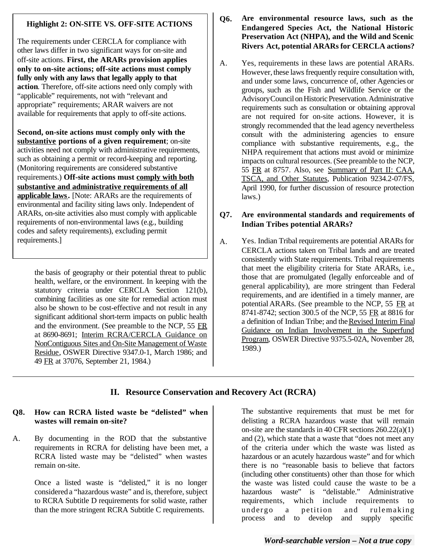#### **Highlight 2: ON-SITE VS. OFF-SITE ACTIONS**

The requirements under CERCLA for compliance with other laws differ in two significant ways for on-site and off-site actions. **First, the ARARs provision applies only to on-site actions; off-site actions must comply fully only with any laws that legally apply to that action**. Therefore, off-site actions need only comply with "applicable" requirements, not with "relevant and appropriate" requirements; ARAR waivers are not available for requirements that apply to off-site actions.

**Second, on-site actions must comply only with the substantive portions of a given requirement**; on-site activities need not comply with administrative requirements, such as obtaining a permit or record-keeping and reporting. (Monitoring requirements are considered substantive requirements.) **Off-site actions must comply with both substantive and administrative requirements of all**  applicable laws. [Note: ARARs are the requirements of environmental and facility siting laws only. Independent of ARARs, on-site activities also must comply with applicable requirements of non-environmental laws (e.g., building codes and safety requirements), excluding permit requirements.]

the basis of geography or their potential threat to public health, welfare, or the environment. In keeping with the statutory criteria under CERCLA Section 121(b), combining facilities as one site for remedial action must also be shown to be cost-effective and not result in any significant additional short-term impacts on public health and the environment. (See preamble to the NCP, 55 FR at 8690-8691; Interim RCRA/CERCLA Guidance on NonContiguous Sites and On-Site Management of Waste Residue, OSWER Directive 9347.0-1, March 1986; and 49 FR at 37076, September 21, 1984.)

- **Q6. Are environmental resource laws, such as the Endangered Species Act, the National Historic Preservation Act (NHPA), and the Wild and Scenic Rivers Act, potential ARARs for CERCLA actions?**
- A. Yes, requirements in these laws are potential ARARs. However, these laws frequently require consultation with, and under some laws, concurrence of, other Agencies or groups, such as the Fish and Wildlife Service or the AdvisoryCouncil on Historic Preservation. Administrative requirements such as consultation or obtaining approval are not required for on-site actions. However, it is strongly recommended that the lead agency nevertheless consult with the administering agencies to ensure compliance with substantive requirements, e.g., the NHPA requirement that actions must avoid or minimize impacts on cultural resources. (See preamble to the NCP, 55 FR at 8757. Also, see Summary of Part II: CAA, TSCA, and Other Statutes, Publication 9234.2-07/FS, April 1990, for further discussion of resource protection laws.)

#### **Q7. Are environmental standards and requirements of Indian Tribes potential ARARs?**

A. Yes. Indian Tribal requirements are potential ARARs for CERCLA actions taken on Tribal lands and are treated consistently with State requirements. Tribal requirements that meet the eligibility criteria for State ARARs, i.e., those that are promulgated (legally enforceable and of general applicability), are more stringent than Federal requirements, and are identified in a timely manner, are potential ARARs. (See preamble to the NCP, 55 FR at 8741-8742; section 300.5 of the NCP, 55 FR at 8816 for a definition of Indian Tribe; and the Revised Interim Final Guidance on Indian Involvement in the Superfund Program, OSWER Directive 9375.5-02A, November 28, 1989.)

## **II. Resource Conservation and Recovery Act (RCRA)**

#### **Q8. How can RCRA listed waste be "delisted" when wastes will remain on-site?**

A. By documenting in the ROD that the substantive requirements in RCRA for delisting have been met, a RCRA listed waste may be "delisted" when wastes remain on-site.

> Once a listed waste is "delisted," it is no longer considered a "hazardous waste" and is, therefore, subject to RCRA Subtitle D requirements for solid waste, rather than the more stringent RCRA Subtitle C requirements.

The substantive requirements that must be met for delisting a RCRA hazardous waste that will remain on-site are the standards in 40 CFR sections 260.22(a)(1) and (2), which state that a waste that "does not meet any of the criteria under which the waste was listed as hazardous or an acutely hazardous waste" and for which there is no "reasonable basis to believe that factors (including other constituents) other than those for which the waste was listed could cause the waste to be a hazardous waste" is "delistable." Administrative requirements, which include requirements to undergo a petition and rulemaking process and to develop and supply specific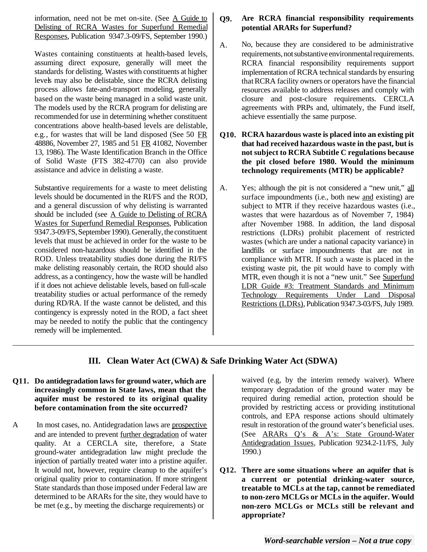information, need not be met on-site. (See A Guide to Delisting of RCRA Wastes for Superfund Remedial Responses, Publication 9347.3-09/FS, September 1990.)

Wastes containing constituents at health-based levels, assuming direct exposure, generally will meet the standards for delisting. Wastes with constituents at higher levels may also be delistable, since the RCRA delisting process allows fate-and-transport modeling, generally based on the waste being managed in a solid waste unit. The models used by the RCRA program for delisting are recommended for use in determining whether constituent concentrations above health-based levels are delistable, e.g., for wastes that will be land disposed (See 50 FR 48886, November 27, 1985 and 51 FR 41082, November 13, 1986). The Waste Identification Branch in the Office of Solid Waste (FTS 382-4770) can also provide assistance and advice in delisting a waste.

Substantive requirements for a waste to meet delisting levels should be documented in the RI/FS and the ROD, and a general discussion of why delisting is warranted should be included (see A Guide to Delisting of RCRA Wastes for Superfund Remedial Responses, Publication 9347.3-09/FS, September 1990). Generally, the constituent levels that must be achieved in order for the waste to be considered non-hazardous should be identified in the ROD. Unless treatability studies done during the RI/FS make delisting reasonably certain, the ROD should also address, as a contingency, how the waste will be handled if it does not achieve delistable levels, based on full-scale treatability studies or actual performance of the remedy during RD/RA. If the waste cannot be delisted, and this contingency is expressly noted in the ROD, a fact sheet may be needed to notify the public that the contingency remedy will be implemented.

#### **Q9. Are RCRA financial responsibility requirements potential ARARs for Superfund?**

- A. No, because they are considered to be administrative requirements, not substantive environmental requirements. RCRA financial responsibility requirements support implementation of RCRA technical standards by ensuring that RCRA facility owners or operators have the financial resources available to address releases and comply with closure and post-closure requirements. CERCLA agreements with PRPs and, ultimately, the Fund itself, achieve essentially the same purpose.
- **Q10. RCRA hazardous waste is placed into an existing pit that had received hazardous waste in the past, but is not subject to RCRA Subtitle C regulations because the pit closed before 1980. Would the minimum technology requirements (MTR) be applicable?**
- A. Yes; although the pit is not considered a "new unit," all surface impoundments (i.e., both new and existing) are subject to MTR if they receive hazardous wastes (i.e., wastes that were hazardous as of November 7, 1984) after November 1988. In addition, the land disposal restrictions (LDRs) prohibit placement of restricted wastes (which are under a national capacity variance) in landfills or surface impoundments that are not in compliance with MTR. If such a waste is placed in the existing waste pit, the pit would have to comply with MTR, even though it is not a "new unit." See Superfund LDR Guide #3: Treatment Standards and Minimum Technology Requirements Under Land Disposal Restrictions (LDRs), Publication 9347.3-03/FS, July 1989.

### **III. Clean Water Act (CWA) & Safe Drinking Water Act (SDWA)**

# **Q11.** Do antidegradation laws for ground water, which are waived (e.g, by the interim remedy waiver). Where

A In most cases, no. Antidegradation laws are prospective result in restoration of the ground water's beneficial uses. and are intended to prevent further degradation of water (See ARARs Q's & A's: State Ground-Water quality. At a CERCLA site, therefore, a State Antidegradation Issues, Publication 9234.2-11/FS, July ground-water antidegradation law might preclude the 1990.) injection of partially treated water into a pristine aquifer.

**increasingly common in State laws, mean that the temporary degradation of the ground water may be aquifer must be restored to its original quality** required during remedial action, protection should be **before contamination from the site occurred?** provided by restricting access or providing institutional controls, and EPA response actions should ultimately

It would not, however, require cleanup to the aquifer's **Q12. There are some situations where an aquifer that is** original quality prior to contamination. If more stringent **a current or potential drinking-water source,** State standards than those imposed under Federal law are **the tap and the tap, cannot be remediated** determined to be ARARs for the site, they would have to **to non-zero MCLGs or MCLs in the aquifer. Would** be met (e.g., by meeting the discharge requirements) or **non-zero MCLGs or MCLs still be relevant and appropriate?**